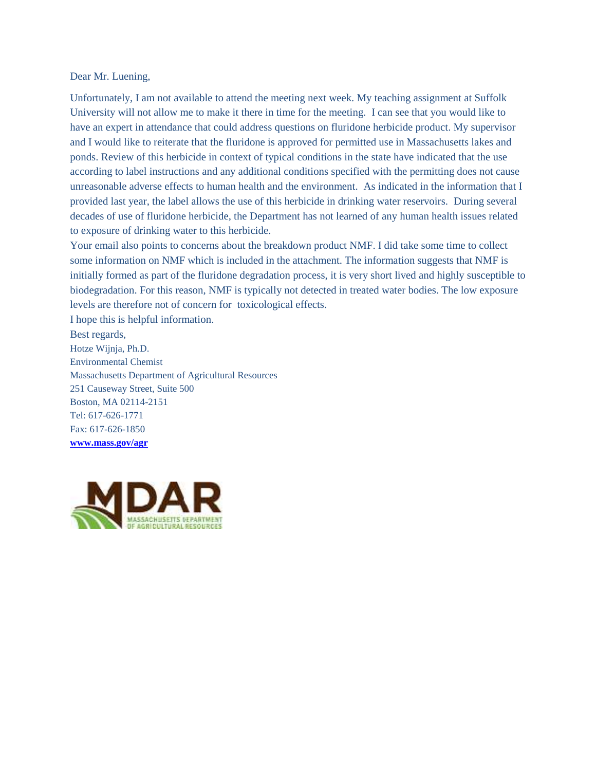## Dear Mr. Luening,

Unfortunately, I am not available to attend the meeting next week. My teaching assignment at Suffolk University will not allow me to make it there in time for the meeting. I can see that you would like to have an expert in attendance that could address questions on fluridone herbicide product. My supervisor and I would like to reiterate that the fluridone is approved for permitted use in Massachusetts lakes and ponds. Review of this herbicide in context of typical conditions in the state have indicated that the use according to label instructions and any additional conditions specified with the permitting does not cause unreasonable adverse effects to human health and the environment. As indicated in the information that I provided last year, the label allows the use of this herbicide in drinking water reservoirs. During several decades of use of fluridone herbicide, the Department has not learned of any human health issues related to exposure of drinking water to this herbicide.

Your email also points to concerns about the breakdown product NMF. I did take some time to collect some information on NMF which is included in the attachment. The information suggests that NMF is initially formed as part of the fluridone degradation process, it is very short lived and highly susceptible to biodegradation. For this reason, NMF is typically not detected in treated water bodies. The low exposure levels are therefore not of concern for toxicological effects.

I hope this is helpful information.

Best regards, Hotze Wijnja, Ph.D. Environmental Chemist Massachusetts Department of Agricultural Resources 251 Causeway Street, Suite 500 Boston, MA 02114-2151 Tel: 617-626-1771 Fax: 617-626-1850 **[www.mass.gov/agr](http://www.mass.gov/agr)**

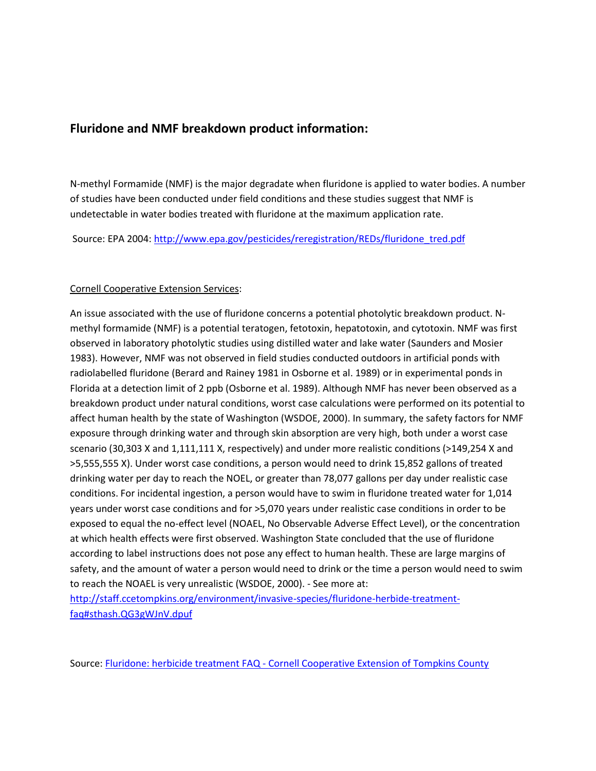## **Fluridone and NMF breakdown product information:**

N-methyl Formamide (NMF) is the major degradate when fluridone is applied to water bodies. A number of studies have been conducted under field conditions and these studies suggest that NMF is undetectable in water bodies treated with fluridone at the maximum application rate.

Source: EPA 2004: [http://www.epa.gov/pesticides/reregistration/REDs/fluridone\\_tred.pdf](http://www.epa.gov/pesticides/reregistration/REDs/fluridone_tred.pdf)

## Cornell Cooperative Extension Services:

An issue associated with the use of fluridone concerns a potential photolytic breakdown product. Nmethyl formamide (NMF) is a potential teratogen, fetotoxin, hepatotoxin, and cytotoxin. NMF was first observed in laboratory photolytic studies using distilled water and lake water (Saunders and Mosier 1983). However, NMF was not observed in field studies conducted outdoors in artificial ponds with radiolabelled fluridone (Berard and Rainey 1981 in Osborne et al. 1989) or in experimental ponds in Florida at a detection limit of 2 ppb (Osborne et al. 1989). Although NMF has never been observed as a breakdown product under natural conditions, worst case calculations were performed on its potential to affect human health by the state of Washington (WSDOE, 2000). In summary, the safety factors for NMF exposure through drinking water and through skin absorption are very high, both under a worst case scenario (30,303 X and 1,111,111 X, respectively) and under more realistic conditions (>149,254 X and >5,555,555 X). Under worst case conditions, a person would need to drink 15,852 gallons of treated drinking water per day to reach the NOEL, or greater than 78,077 gallons per day under realistic case conditions. For incidental ingestion, a person would have to swim in fluridone treated water for 1,014 years under worst case conditions and for >5,070 years under realistic case conditions in order to be exposed to equal the no-effect level (NOAEL, No Observable Adverse Effect Level), or the concentration at which health effects were first observed. Washington State concluded that the use of fluridone according to label instructions does not pose any effect to human health. These are large margins of safety, and the amount of water a person would need to drink or the time a person would need to swim to reach the NOAEL is very unrealistic (WSDOE, 2000). - See more at:

[http://staff.ccetompkins.org/environment/invasive-species/fluridone-herbide-treatment](http://staff.ccetompkins.org/environment/invasive-species/fluridone-herbide-treatment-faq#sthash.QG3gWJnV.dpuf)[faq#sthash.QG3gWJnV.dpuf](http://staff.ccetompkins.org/environment/invasive-species/fluridone-herbide-treatment-faq#sthash.QG3gWJnV.dpuf)

Source: Fluridone: herbicide treatment FAQ - [Cornell Cooperative Extension of Tompkins County](http://staff.ccetompkins.org/environment/invasive-species/fluridone-herbide-treatment-faq)